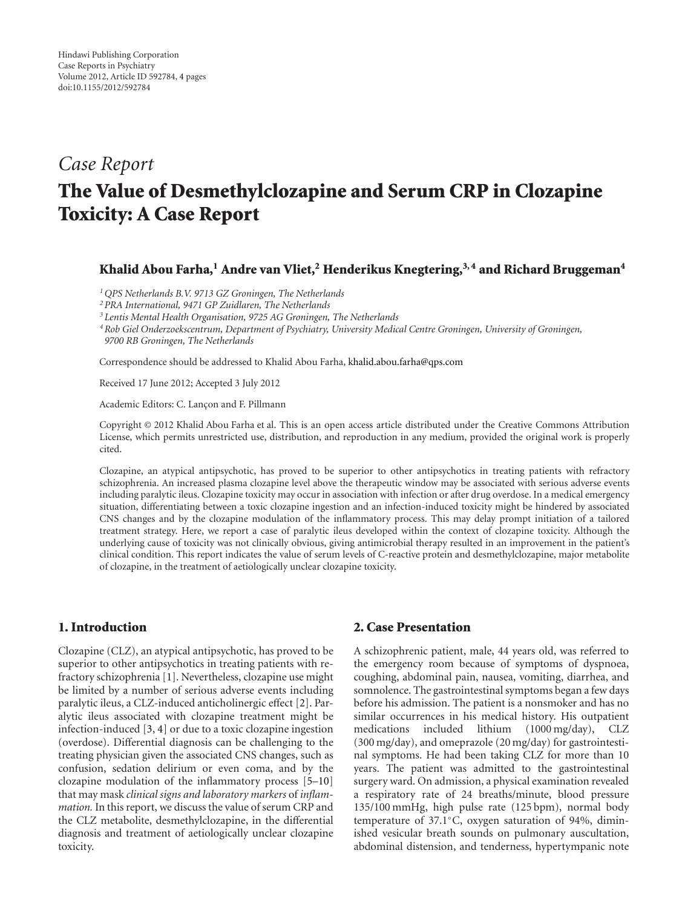# *Case Report* **The Value of Desmethylclozapine and Serum CRP in Clozapine Toxicity: A Case Report**

## Khalid Abou Farha,<sup>1</sup> Andre van Vliet,<sup>2</sup> Henderikus Knegtering,<sup>3,4</sup> and Richard Bruggeman<sup>4</sup>

*1QPS Netherlands B.V. 9713 GZ Groningen, The Netherlands*

*2PRA International, 9471 GP Zuidlaren, The Netherlands*

*<sup>3</sup> Lentis Mental Health Organisation, 9725 AG Groningen, The Netherlands*

*4Rob Giel Onderzoekscentrum, Department of Psychiatry, University Medical Centre Groningen, University of Groningen, 9700 RB Groningen, The Netherlands*

Correspondence should be addressed to Khalid Abou Farha, [khalid.abou.farha@qps.com](mailto:khalid.abou.farha@qps.com)

Received 17 June 2012; Accepted 3 July 2012

Academic Editors: C. Lançon and F. Pillmann

Copyright © 2012 Khalid Abou Farha et al. This is an open access article distributed under the Creative Commons Attribution License, which permits unrestricted use, distribution, and reproduction in any medium, provided the original work is properly cited.

Clozapine, an atypical antipsychotic, has proved to be superior to other antipsychotics in treating patients with refractory schizophrenia. An increased plasma clozapine level above the therapeutic window may be associated with serious adverse events including paralytic ileus. Clozapine toxicity may occur in association with infection or after drug overdose. In a medical emergency situation, differentiating between a toxic clozapine ingestion and an infection-induced toxicity might be hindered by associated CNS changes and by the clozapine modulation of the inflammatory process. This may delay prompt initiation of a tailored treatment strategy. Here, we report a case of paralytic ileus developed within the context of clozapine toxicity. Although the underlying cause of toxicity was not clinically obvious, giving antimicrobial therapy resulted in an improvement in the patient's clinical condition. This report indicates the value of serum levels of C-reactive protein and desmethylclozapine, major metabolite of clozapine, in the treatment of aetiologically unclear clozapine toxicity.

# **1. Introduction**

Clozapine (CLZ), an atypical antipsychotic, has proved to be superior to other antipsychotics in treating patients with refractory schizophrenia [\[1](#page-3-1)]. Nevertheless, clozapine use might be limited by a number of serious adverse events including paralytic ileus, a CLZ-induced anticholinergic effect [\[2](#page-3-2)]. Paralytic ileus associated with clozapine treatment might be infection-induced [\[3,](#page-3-3) [4](#page-3-4)] or due to a toxic clozapine ingestion (overdose). Differential diagnosis can be challenging to the treating physician given the associated CNS changes, such as confusion, sedation delirium or even coma, and by the clozapine modulation of the inflammatory process [\[5](#page-3-5)[–10](#page-3-6)] that may mask *clinical signs and laboratory markers* of *inflammation.* In this report, we discuss the value of serum CRP and the CLZ metabolite, desmethylclozapine, in the differential diagnosis and treatment of aetiologically unclear clozapine toxicity.

# **2. Case Presentation**

A schizophrenic patient, male, 44 years old, was referred to the emergency room because of symptoms of dyspnoea, coughing, abdominal pain, nausea, vomiting, diarrhea, and somnolence. The gastrointestinal symptoms began a few days before his admission. The patient is a nonsmoker and has no similar occurrences in his medical history. His outpatient medications included lithium (1000 mg/day), CLZ (300 mg/day), and omeprazole (20 mg/day) for gastrointestinal symptoms. He had been taking CLZ for more than 10 years. The patient was admitted to the gastrointestinal surgery ward. On admission, a physical examination revealed a respiratory rate of 24 breaths/minute, blood pressure 135/100 mmHg, high pulse rate (125 bpm), normal body temperature of 37.1◦C, oxygen saturation of 94%, diminished vesicular breath sounds on pulmonary auscultation, abdominal distension, and tenderness, hypertympanic note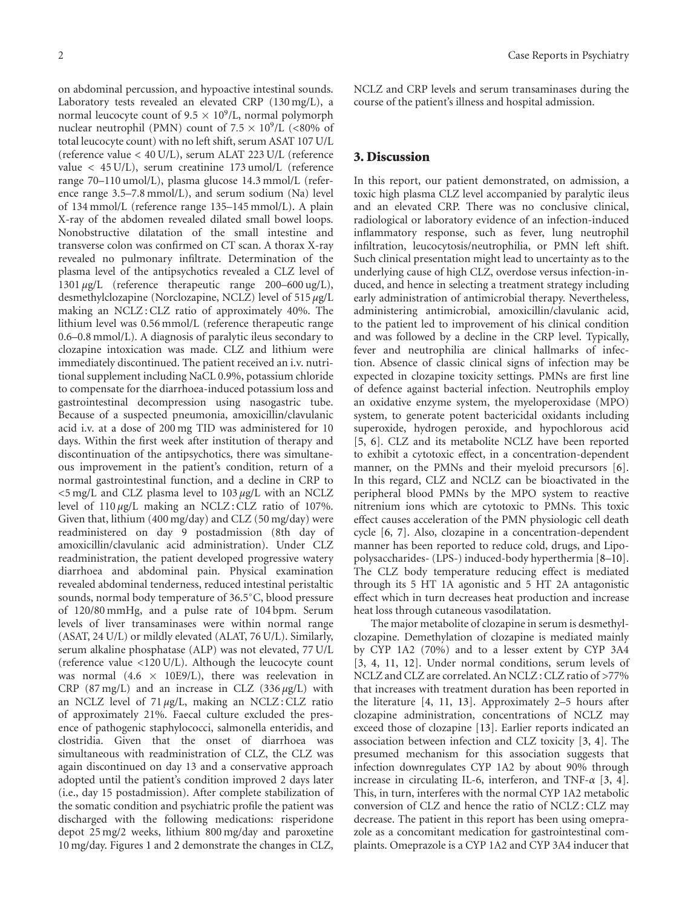on abdominal percussion, and hypoactive intestinal sounds. Laboratory tests revealed an elevated CRP (130 mg/L), a normal leucocyte count of  $9.5 \times 10^9$ /L, normal polymorph nuclear neutrophil (PMN) count of 7*.*<sup>5</sup> <sup>×</sup> <sup>10</sup>9/L (*<*80% of total leucocyte count) with no left shift, serum ASAT 107 U/L (reference value *<* 40 U/L), serum ALAT 223 U/L (reference value *<* 45 U/L), serum creatinine 173 umol/L (reference range 70–110 umol/L), plasma glucose 14.3 mmol/L (reference range 3.5–7.8 mmol/L), and serum sodium (Na) level of 134 mmol/L (reference range 135–145 mmol/L). A plain X-ray of the abdomen revealed dilated small bowel loops. Nonobstructive dilatation of the small intestine and transverse colon was confirmed on CT scan. A thorax X-ray revealed no pulmonary infiltrate. Determination of the plasma level of the antipsychotics revealed a CLZ level of 1301 *μ*g/L (reference therapeutic range 200–600 ug/L), desmethylclozapine (Norclozapine, NCLZ) level of 515 *μ*g/L making an NCLZ : CLZ ratio of approximately 40%. The lithium level was 0.56 mmol/L (reference therapeutic range 0.6–0.8 mmol/L). A diagnosis of paralytic ileus secondary to clozapine intoxication was made. CLZ and lithium were immediately discontinued. The patient received an i.v. nutritional supplement including NaCL 0.9%, potassium chloride to compensate for the diarrhoea-induced potassium loss and gastrointestinal decompression using nasogastric tube. Because of a suspected pneumonia, amoxicillin/clavulanic acid i.v. at a dose of 200 mg TID was administered for 10 days. Within the first week after institution of therapy and discontinuation of the antipsychotics, there was simultaneous improvement in the patient's condition, return of a normal gastrointestinal function, and a decline in CRP to *<*5 mg/L and CLZ plasma level to 103 *μ*g/L with an NCLZ level of 110 *μ*g/L making an NCLZ : CLZ ratio of 107%. Given that, lithium (400 mg/day) and CLZ (50 mg/day) were readministered on day 9 postadmission (8th day of amoxicillin/clavulanic acid administration). Under CLZ readministration, the patient developed progressive watery diarrhoea and abdominal pain. Physical examination revealed abdominal tenderness, reduced intestinal peristaltic sounds, normal body temperature of 36.5◦C, blood pressure of 120/80 mmHg, and a pulse rate of 104 bpm. Serum levels of liver transaminases were within normal range (ASAT, 24 U/L) or mildly elevated (ALAT, 76 U/L). Similarly, serum alkaline phosphatase (ALP) was not elevated, 77 U/L (reference value *<*120 U/L). Although the leucocyte count was normal (4.6  $\times$  10E9/L), there was reelevation in CRP (87 mg/L) and an increase in CLZ (336 *μ*g/L) with an NCLZ level of 71 *μ*g/L, making an NCLZ : CLZ ratio of approximately 21%. Faecal culture excluded the presence of pathogenic staphylococci, salmonella enteridis, and clostridia. Given that the onset of diarrhoea was simultaneous with readministration of CLZ, the CLZ was again discontinued on day 13 and a conservative approach adopted until the patient's condition improved 2 days later (i.e., day 15 postadmission). After complete stabilization of the somatic condition and psychiatric profile the patient was discharged with the following medications: risperidone depot 25 mg/2 weeks, lithium 800 mg/day and paroxetine 10 mg/day. Figures [1](#page-2-0) and [2](#page-2-1) demonstrate the changes in CLZ,

NCLZ and CRP levels and serum transaminases during the course of the patient's illness and hospital admission.

# **3. Discussion**

In this report, our patient demonstrated, on admission, a toxic high plasma CLZ level accompanied by paralytic ileus and an elevated CRP. There was no conclusive clinical, radiological or laboratory evidence of an infection-induced inflammatory response, such as fever, lung neutrophil infiltration, leucocytosis/neutrophilia, or PMN left shift. Such clinical presentation might lead to uncertainty as to the underlying cause of high CLZ, overdose versus infection-induced, and hence in selecting a treatment strategy including early administration of antimicrobial therapy. Nevertheless, administering antimicrobial, amoxicillin/clavulanic acid, to the patient led to improvement of his clinical condition and was followed by a decline in the CRP level. Typically, fever and neutrophilia are clinical hallmarks of infection. Absence of classic clinical signs of infection may be expected in clozapine toxicity settings. PMNs are first line of defence against bacterial infection. Neutrophils employ an oxidative enzyme system, the myeloperoxidase (MPO) system, to generate potent bactericidal oxidants including superoxide, hydrogen peroxide, and hypochlorous acid [\[5](#page-3-5), [6](#page-3-7)]. CLZ and its metabolite NCLZ have been reported to exhibit a cytotoxic effect, in a concentration-dependent manner, on the PMNs and their myeloid precursors [\[6\]](#page-3-7). In this regard, CLZ and NCLZ can be bioactivated in the peripheral blood PMNs by the MPO system to reactive nitrenium ions which are cytotoxic to PMNs. This toxic effect causes acceleration of the PMN physiologic cell death cycle [\[6](#page-3-7), [7](#page-3-8)]. Also, clozapine in a concentration-dependent manner has been reported to reduce cold, drugs, and Lipopolysaccharides- (LPS-) induced-body hyperthermia [\[8](#page-3-9)[–10\]](#page-3-6). The CLZ body temperature reducing effect is mediated through its 5 HT 1A agonistic and 5 HT 2A antagonistic effect which in turn decreases heat production and increase heat loss through cutaneous vasodilatation.

The major metabolite of clozapine in serum is desmethylclozapine. Demethylation of clozapine is mediated mainly by CYP 1A2 (70%) and to a lesser extent by CYP 3A4 [\[3](#page-3-3), [4,](#page-3-4) [11](#page-3-10), [12\]](#page-3-11). Under normal conditions, serum levels of NCLZ and CLZ are correlated. An NCLZ : CLZ ratio of *>*77% that increases with treatment duration has been reported in the literature [\[4,](#page-3-4) [11](#page-3-10), [13](#page-3-12)]. Approximately 2–5 hours after clozapine administration, concentrations of NCLZ may exceed those of clozapine [\[13](#page-3-12)]. Earlier reports indicated an association between infection and CLZ toxicity [\[3](#page-3-3), [4\]](#page-3-4). The presumed mechanism for this association suggests that infection downregulates CYP 1A2 by about 90% through increase in circulating IL-6, interferon, and TNF-*α* [\[3,](#page-3-3) [4\]](#page-3-4). This, in turn, interferes with the normal CYP 1A2 metabolic conversion of CLZ and hence the ratio of NCLZ : CLZ may decrease. The patient in this report has been using omeprazole as a concomitant medication for gastrointestinal complaints. Omeprazole is a CYP 1A2 and CYP 3A4 inducer that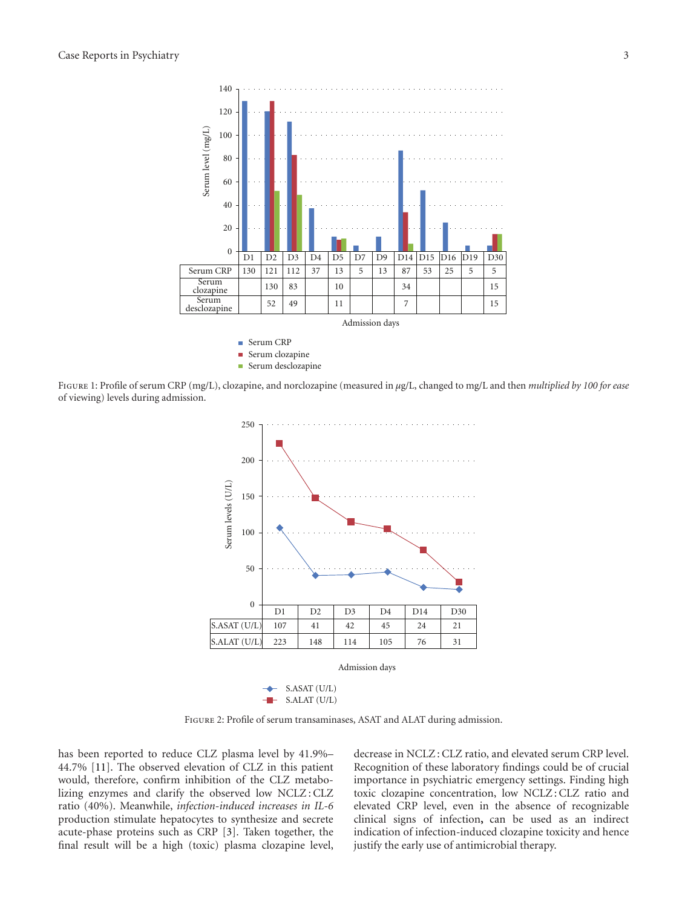

Serum desclozapine Ē.

<span id="page-2-0"></span>Figure 1: Profile of serum CRP (mg/L), clozapine, and norclozapine (measured in *μ*g/L, changed to mg/L and then *multiplied by 100 for ease* of viewing) levels during admission.



<span id="page-2-1"></span>Figure 2: Profile of serum transaminases, ASAT and ALAT during admission.

has been reported to reduce CLZ plasma level by 41.9%– 44.7% [\[11\]](#page-3-10). The observed elevation of CLZ in this patient would, therefore, confirm inhibition of the CLZ metabolizing enzymes and clarify the observed low NCLZ : CLZ ratio (40%). Meanwhile, *infection-induced increases in IL-6* production stimulate hepatocytes to synthesize and secrete acute-phase proteins such as CRP [\[3](#page-3-3)]. Taken together, the final result will be a high (toxic) plasma clozapine level, decrease in NCLZ : CLZ ratio, and elevated serum CRP level. Recognition of these laboratory findings could be of crucial importance in psychiatric emergency settings. Finding high toxic clozapine concentration, low NCLZ : CLZ ratio and elevated CRP level, even in the absence of recognizable clinical signs of infection**,** can be used as an indirect indication of infection-induced clozapine toxicity and hence justify the early use of antimicrobial therapy.